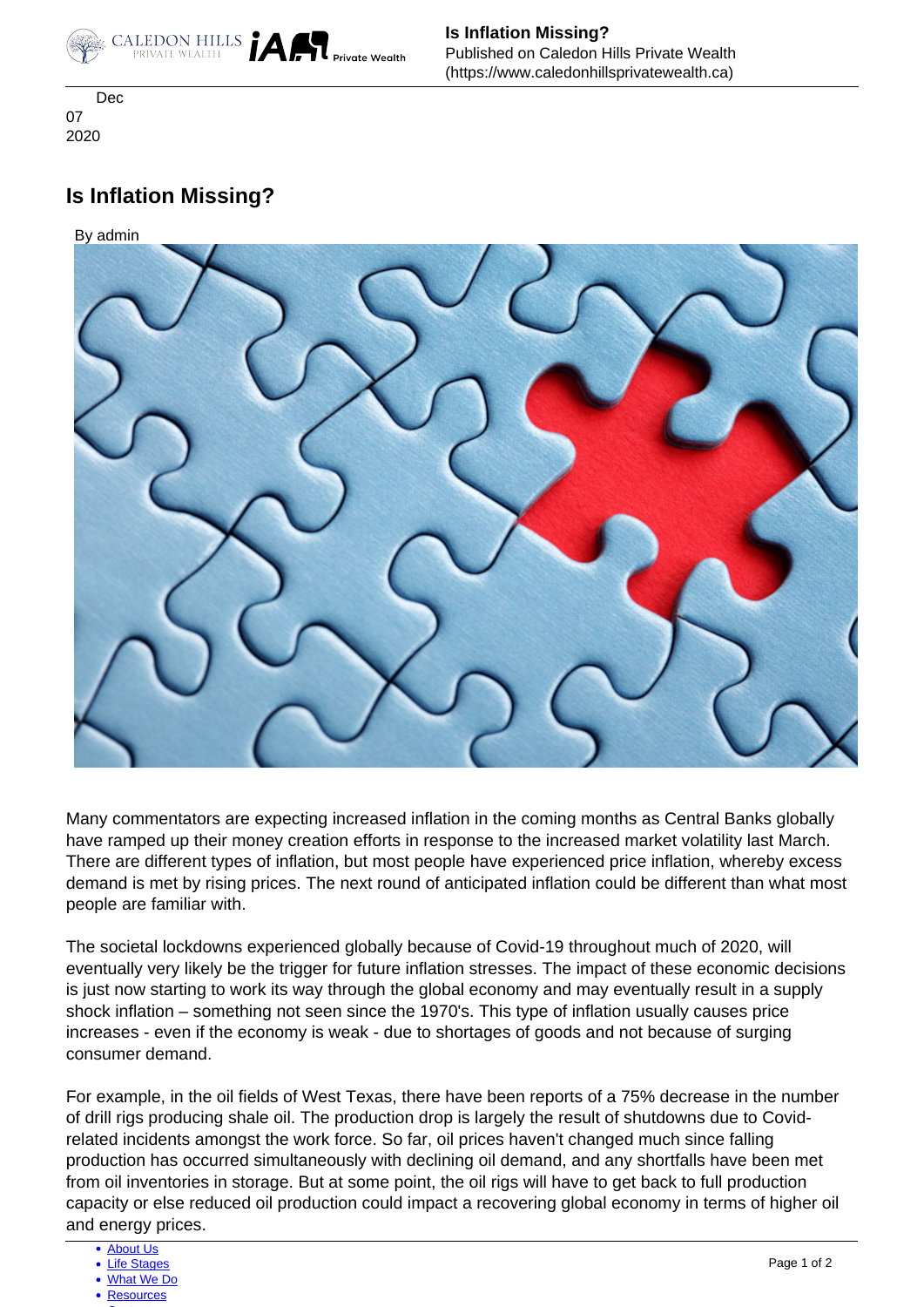

 Dec 07 2020

## **Is Inflation Missing?**

By admin



Many commentators are expecting increased inflation in the coming months as Central Banks globally have ramped up their money creation efforts in response to the increased market volatility last March. There are different types of inflation, but most people have experienced price inflation, whereby excess demand is met by rising prices. The next round of anticipated inflation could be different than what most people are familiar with.

 shock inflation – something not seen since the 1970's. This type of inflation usually causes price The societal lockdowns experienced globally because of Covid-19 throughout much of 2020, will eventually very likely be the trigger for future inflation stresses. The impact of these economic decisions is just now starting to work its way through the global economy and may eventually result in a supply increases - even if the economy is weak - due to shortages of goods and not because of surging consumer demand.

For example, in the oil fields of West Texas, there have been reports of a 75% decrease in the number of drill rigs producing shale oil. The production drop is largely the result of shutdowns due to Covidrelated incidents amongst the work force. So far, oil prices haven't changed much since falling production has occurred simultaneously with declining oil demand, and any shortfalls have been met from oil inventories in storage. But at some point, the oil rigs will have to get back to full production capacity or else reduced oil production could impact a recovering global economy in terms of higher oil and energy prices.

- [About Us](https://www.caledonhillsprivatewealth.ca/about-us)
- [Life Stages](https://www.caledonhillsprivatewealth.ca/life-stages)
- [What We Do](https://www.caledonhillsprivatewealth.ca/what-we-do)
- [Resources](https://www.caledonhillsprivatewealth.ca/resources)  $\sim$  [Contact](https://www.caledonhillsprivatewealth.ca/contact-us)  $\sim$